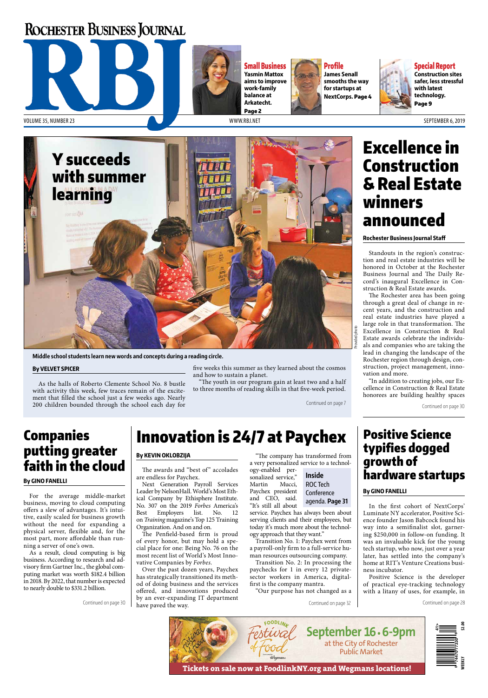## **ROCHESTER BUSINESS JOURNAL**



Small Business **Yasmin Mattox aims to improve work-family balance at Arkatecht.**  Page 2



Profile **James Senall smooths the way for startups at NextCorps.** Page 4



Special Report **Construction sites safer, less stressful with latest technology.** Page 9



**Middle school students learn new words and concepts during a reading circle.** 

#### **By VELVET SPICER**

As the halls of Roberto Clemente School No. 8 bustle with activity this week, few traces remain of the excitement that filled the school just a few weeks ago. Nearly 200 children bounded through the school each day for

five weeks this summer as they learned about the cosmos and how to sustain a planet.

"The youth in our program gain at least two and a half to three months of reading skills in that five-week period.

Continued on page 7

## Companies putting greater faith in the cloud

#### **By GINO FANELLI**

For the average middle-market business, moving to cloud computing offers a slew of advantages. It's intuitive, easily scaled for business growth without the need for expanding a physical server, flexible and, for the most part, more affordable than running a server of one's own.

As a result, cloud computing is big business. According to research and advisory firm Gartner Inc., the global computing market was worth \$182.4 billion in 2018. By 2022, that number is expected to nearly double to \$331.2 billion.

## Innovation is 24/7 at Paychex

### **By KEVIN OKLOBZIJA**

The awards and "best of" accolades are endless for Paychex.

Next Generation Payroll Services Leader by NelsonHall. World's Most Ethical Company by Ethisphere Institute. No. 307 on the 2019 *Forbes* America's Best Employers list. No. 12 on *Training* magazine's Top 125 Training Organization. And on and on.

The Penfield-based firm is proud of every honor, but may hold a special place for one: Being No. 76 on the most recent list of World's Most Innovative Companies by *Forbes*.

Over the past dozen years, Paychex has strategically transitioned its method of doing business and the services offered, and innovations produced by an ever-expanding IT department Continued on page  $30 \mid$  have paved the way.

"The company has transformed from a very personalized service to a technol-

ogy-enabled personalized service," Martin Mucci, Paychex president and CEO, said. "It's still all about service. Paychex has always been about

serving clients and their employees, but today it's much more about the technology approach that they want."

Transition No. 1: Paychex went from a payroll-only firm to a full-service human resources outsourcing company.

Transition No. 2: In processing the paychecks for 1 in every 12 privatesector workers in America, digitalfirst is the company mantra.

"Our purpose has not changed as a

### **Inside** ROC Tech **Conference** agenda. **Page 31**

In the first cohort of NextCorps' Luminate NY accelerator, Positive Science founder Jason Babcock found his way into a semifinalist slot, garnering \$250,000 in follow-on funding. It was an invaluable kick for the young tech startup, who now, just over a year later, has settled into the company's home at RIT's Venture Creations business incubator.

Positive Science is the developer of practical eye-tracking technology with a litany of uses, for example, in

Continued on page 28



# Construction & Real Estate winners announced

**Rochester Business Journal Staff**

Standouts in the region's construction and real estate industries will be honored in October at the Rochester Business Journal and The Daily Record's inaugural Excellence in Construction & Real Estate awards.

The Rochester area has been going through a great deal of change in recent years, and the construction and real estate industries have played a large role in that transformation. The Excellence in Construction & Real Estate awards celebrate the individuals and companies who are taking the lead in changing the landscape of the Rochester region through design, construction, project management, innovation and more.

"In addition to creating jobs, our Excellence in Construction & Real Estate honorees are building healthy spaces

Continued on page 30

## Positive Science typifies dogged growth of hardware startups

### **By GINO FANELLI**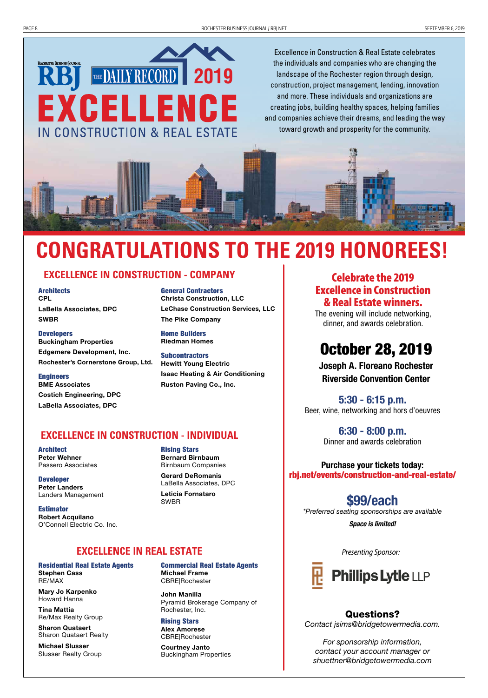

Excellence in Construction & Real Estate celebrates the individuals and companies who are changing the landscape of the Rochester region through design, construction, project management, lending, innovation and more. These individuals and organizations are creating jobs, building healthy spaces, helping families and companies achieve their dreams, and leading the way toward growth and prosperity for the community.



# **CONGRATULATIONS TO THE 2019 HONOREES!**

### **EXCELLENCE IN CONSTRUCTION - COMPANY**

**Architects CPL** LaBella Associates, DPC SWBR

**Developers** Buckingham Properties Edgemere Development, Inc. Rochester's Cornerstone Group, Ltd.

Engineers BME Associates Costich Engineering, DPC LaBella Associates, DPC

General Contractors Christa Construction, LLC LeChase Construction Services, LLC The Pike Company

Home Builders Riedman Homes

**Subcontractors** Hewitt Young Electric Isaac Heating & Air Conditioning Ruston Paving Co., Inc.

### **EXCELLENCE IN CONSTRUCTION - INDIVIDUAL**

Architect Peter Wehner Passero Associates

Developer Peter Landers Landers Management

Estimator Robert Acquilano O'Connell Electric Co. Inc.

Rising Stars Bernard Birnbaum Birnbaum Companies Gerard DeRomanis LaBella Associates, DPC Leticia Fornataro SWBR

### **EXCELLENCE IN REAL ESTATE**

Residential Real Estate Agents Stephen Cass RE/MAX

Mary Jo Karpenko Howard Hanna

Tina Mattia Re/Max Realty Group

Sharon Quataert Sharon Quataert Realty

Michael Slusser Slusser Realty Group Commercial Real Estate Agents

Michael Frame CBRE|Rochester

John Manilla Pyramid Brokerage Company of Rochester, Inc.

Rising Stars Alex Amorese CBRE|Rochester

Courtney Janto Buckingham Properties

### Celebrate the 2019 Excellence in Construction & Real Estate winners.

The evening will include networking, dinner, and awards celebration.

## October 28, 2019

Joseph A. Floreano Rochester Riverside Convention Center

5:30 - 6:15 p.m. Beer, wine, networking and hors d'oeuvres

> 6:30 - 8:00 p.m. Dinner and awards celebration

Purchase your tickets today: rbj.net/events/construction-and-real-estate/

### \$99/each

*\*Preferred seating sponsorships are available Space is limited!* 

*Presenting Sponsor:*



### Questions?

*Contact jsims@bridgetowermedia.com.* 

*For sponsorship information, contact your account manager or shuettner@bridgetowermedia.com*